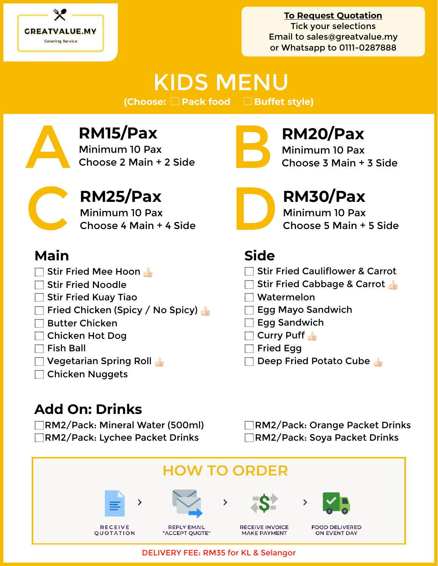

**To Request Quotation** Tick your selections Email to [sales@greatvalue.my](mailto:sales@greatvalue.my) or Whatsapp to 0111-0287888

# KIDS MENU

**(Choose:** 䡩 **Pack food** 䡩 **Buffet style)**



Minimum 10 Pax

**RM15/Pax**<br>Minimum 10 Pax<br>Choose 2 Main + 2 Side Minimum 10 Pax RM15/Pax<br>
Minimum 10 Pax<br>
Choose 2 Main + 2 Side B Choose 3 Main +

**RM25/Pax**<br>Minimum 10 Pax<br>Choose 4 Main + 4 Side



Minimum 10 Pax Choose 3 Main + 3 Side



RM25/Pax<br>Minimum 10 Pax<br>Choose 4 Main + 4 Side Choose 5 Main + Minimum 10 Pax Choose 5 Main + 5 Side

### **Main**

- Stir Fried Mee Hoon
- Stir Fried Noodle
- Stir Fried Kuay Tiao  $\mathcal{L}$
- $\Box$  Fried Chicken (Spicy / No Spicy)
- Butter Chicken
- Chicken Hot Dog
- Fish Ball
- Vegetarian Spring Roll
- Chicken Nuggets

## **Add On: Drinks**

- RM2/Pack: Mineral Water (500ml)
- RM2/Pack: Lychee Packet Drinks

### **Side**

- Stir Fried Cauliflower & Carrot
- Stir Fried Cabbage & Carrot
- Watermelon
- Egg Mayo Sandwich
- Egg Sandwich
- Curry Puff
- Fried Egg
- Deep Fried Potato Cube
- RM2/Pack: Orange Packet Drinks RM2/Pack: Soya Packet Drinks



DELIVERY FEE: RM35 for KL & Selangor